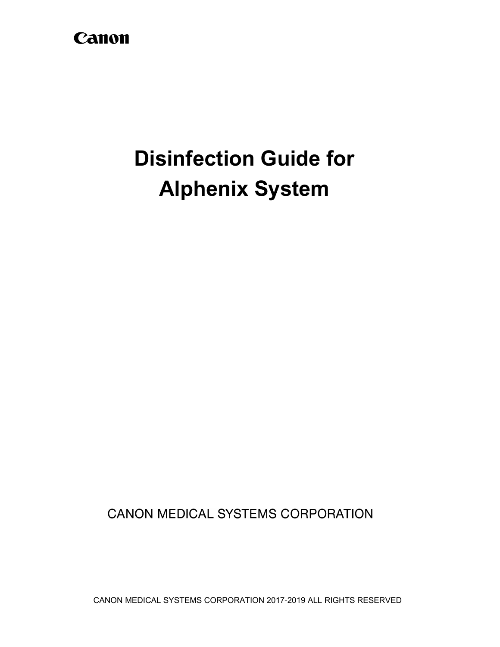# Canon

# **Disinfection Guide for Alphenix System**

**CANON MEDICAL SYSTEMS CORPORATION**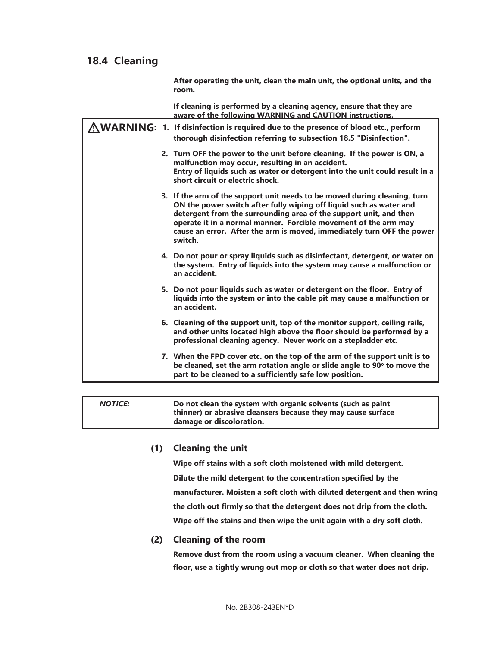# **18.4 Cleaning**

|  | After operating the unit, clean the main unit, the optional units, and the<br>room.                                                                                                                                                                                                                                                                                           |
|--|-------------------------------------------------------------------------------------------------------------------------------------------------------------------------------------------------------------------------------------------------------------------------------------------------------------------------------------------------------------------------------|
|  | If cleaning is performed by a cleaning agency, ensure that they are<br>aware of the following WARNING and CAUTION instructions.                                                                                                                                                                                                                                               |
|  | MARNING: 1. If disinfection is required due to the presence of blood etc., perform<br>thorough disinfection referring to subsection 18.5 "Disinfection".                                                                                                                                                                                                                      |
|  | 2. Turn OFF the power to the unit before cleaning. If the power is ON, a<br>malfunction may occur, resulting in an accident.<br>Entry of liquids such as water or detergent into the unit could result in a<br>short circuit or electric shock.                                                                                                                               |
|  | 3. If the arm of the support unit needs to be moved during cleaning, turn<br>ON the power switch after fully wiping off liquid such as water and<br>detergent from the surrounding area of the support unit, and then<br>operate it in a normal manner. Forcible movement of the arm may<br>cause an error. After the arm is moved, immediately turn OFF the power<br>switch. |
|  | 4. Do not pour or spray liquids such as disinfectant, detergent, or water on<br>the system. Entry of liquids into the system may cause a malfunction or<br>an accident.                                                                                                                                                                                                       |
|  | 5. Do not pour liquids such as water or detergent on the floor. Entry of<br>liquids into the system or into the cable pit may cause a malfunction or<br>an accident.                                                                                                                                                                                                          |
|  | 6. Cleaning of the support unit, top of the monitor support, ceiling rails,<br>and other units located high above the floor should be performed by a<br>professional cleaning agency. Never work on a stepladder etc.                                                                                                                                                         |
|  | 7. When the FPD cover etc. on the top of the arm of the support unit is to<br>be cleaned, set the arm rotation angle or slide angle to 90° to move the<br>part to be cleaned to a sufficiently safe low position.                                                                                                                                                             |
|  |                                                                                                                                                                                                                                                                                                                                                                               |

| <b>NOTICE:</b> | Do not clean the system with organic solvents (such as paint  |
|----------------|---------------------------------------------------------------|
|                | thinner) or abrasive cleansers because they may cause surface |
|                | damage or discoloration.                                      |

#### **(1) Cleaning the unit**

**Wipe off stains with a soft cloth moistened with mild detergent. Dilute the mild detergent to the concentration specified by the manufacturer. Moisten a soft cloth with diluted detergent and then wring the cloth out firmly so that the detergent does not drip from the cloth. Wipe off the stains and then wipe the unit again with a dry soft cloth.**

#### **(2) Cleaning of the room**

**Remove dust from the room using a vacuum cleaner. When cleaning the floor, use a tightly wrung out mop or cloth so that water does not drip.**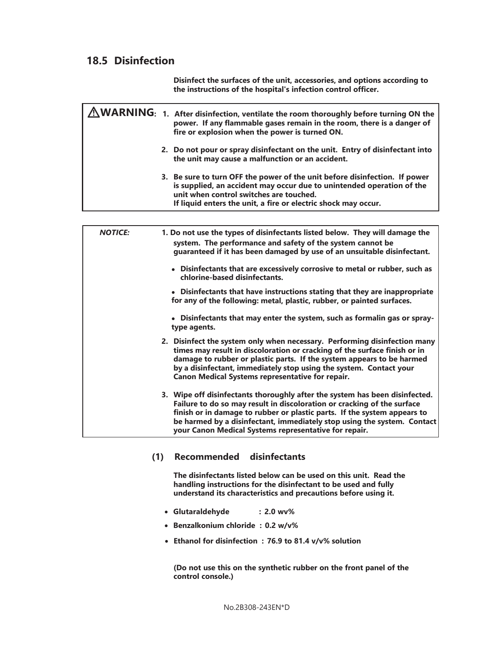# **18.5 Disinfection**

**Disinfect the surfaces of the unit, accessories, and options according to the instructions of the hospital's infection control officer.** 

|                | $\bigwedge \!\! \Delta \mathsf{WARMING}\text{: }$ 1. After disinfection, ventilate the room thoroughly before turning ON the<br>power. If any flammable gases remain in the room, there is a danger of<br>fire or explosion when the power is turned ON.<br>2. Do not pour or spray disinfectant on the unit. Entry of disinfectant into<br>the unit may cause a malfunction or an accident.<br>3. Be sure to turn OFF the power of the unit before disinfection. If power<br>is supplied, an accident may occur due to unintended operation of the<br>unit when control switches are touched.<br>If liquid enters the unit, a fire or electric shock may occur. |
|----------------|------------------------------------------------------------------------------------------------------------------------------------------------------------------------------------------------------------------------------------------------------------------------------------------------------------------------------------------------------------------------------------------------------------------------------------------------------------------------------------------------------------------------------------------------------------------------------------------------------------------------------------------------------------------|
|                |                                                                                                                                                                                                                                                                                                                                                                                                                                                                                                                                                                                                                                                                  |
| <b>NOTICE:</b> | 1. Do not use the types of disinfectants listed below. They will damage the<br>system. The performance and safety of the system cannot be<br>guaranteed if it has been damaged by use of an unsuitable disinfectant.                                                                                                                                                                                                                                                                                                                                                                                                                                             |
|                | • Disinfectants that are excessively corrosive to metal or rubber, such as<br>chlorine-based disinfectants.                                                                                                                                                                                                                                                                                                                                                                                                                                                                                                                                                      |
|                | • Disinfectants that have instructions stating that they are inappropriate<br>for any of the following: metal, plastic, rubber, or painted surfaces.                                                                                                                                                                                                                                                                                                                                                                                                                                                                                                             |
|                | • Disinfectants that may enter the system, such as formalin gas or spray-<br>type agents.                                                                                                                                                                                                                                                                                                                                                                                                                                                                                                                                                                        |
|                | 2. Disinfect the system only when necessary. Performing disinfection many<br>times may result in discoloration or cracking of the surface finish or in<br>damage to rubber or plastic parts. If the system appears to be harmed<br>by a disinfectant, immediately stop using the system. Contact your<br>Canon Medical Systems representative for repair.                                                                                                                                                                                                                                                                                                        |
|                | 3. Wipe off disinfectants thoroughly after the system has been disinfected.<br>Failure to do so may result in discoloration or cracking of the surface<br>finish or in damage to rubber or plastic parts. If the system appears to<br>be harmed by a disinfectant, immediately stop using the system. Contact<br>your Canon Medical Systems representative for repair.                                                                                                                                                                                                                                                                                           |

**(1) Recommended disinfectants**

**The disinfectants listed below can be used on this unit. Read the handling instructions for the disinfectant to be used and fully understand its characteristics and precautions before using it.**

- x **Glutaraldehyde : 2.0 wv%**
- x **Benzalkonium chloride : 0.2 w/v%**
- x **Ethanol for disinfection : 76.9 to 81.4 v/v% solution**

**(Do not use this on the synthetic rubber on the front panel of the control console.)**